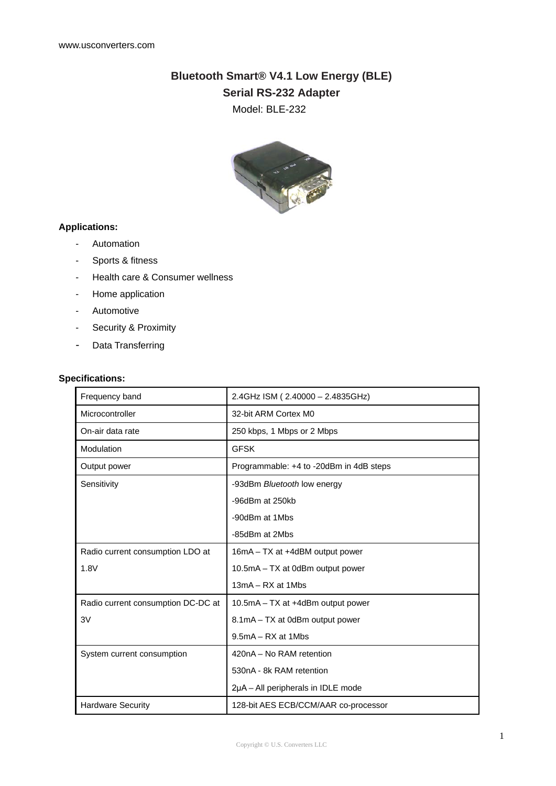# **Bluetooth Smart® V4.1 Low Energy (BLE)**

**Serial RS-232 Adapter**

Model: BLE-232



### **Applications:**

- Automation
- Sports & fitness
- Health care & Consumer wellness
- Home application
- Automotive
- Security & Proximity
- Data Transferring

#### **Specifications:**

| Frequency band                     | 2.4GHz ISM (2.40000 - 2.4835GHz)        |
|------------------------------------|-----------------------------------------|
| Microcontroller                    | 32-bit ARM Cortex M0                    |
| On-air data rate                   | 250 kbps, 1 Mbps or 2 Mbps              |
| Modulation                         | <b>GFSK</b>                             |
| Output power                       | Programmable: +4 to -20dBm in 4dB steps |
| Sensitivity                        | -93dBm Bluetooth low energy             |
|                                    | -96dBm at 250kb                         |
|                                    | -90dBm at 1Mbs                          |
|                                    | -85dBm at 2Mbs                          |
| Radio current consumption LDO at   | 16mA - TX at +4dBM output power         |
| 1.8V                               | 10.5mA - TX at 0dBm output power        |
|                                    | $13mA - RX$ at $1Mbs$                   |
| Radio current consumption DC-DC at | 10.5mA – TX at +4dBm output power       |
| 3V                                 | 8.1mA - TX at 0dBm output power         |
|                                    | $9.5mA - RX$ at 1Mbs                    |
| System current consumption         | 420nA - No RAM retention                |
|                                    | 530nA - 8k RAM retention                |
|                                    | 2µA – All peripherals in IDLE mode      |
| <b>Hardware Security</b>           | 128-bit AES ECB/CCM/AAR co-processor    |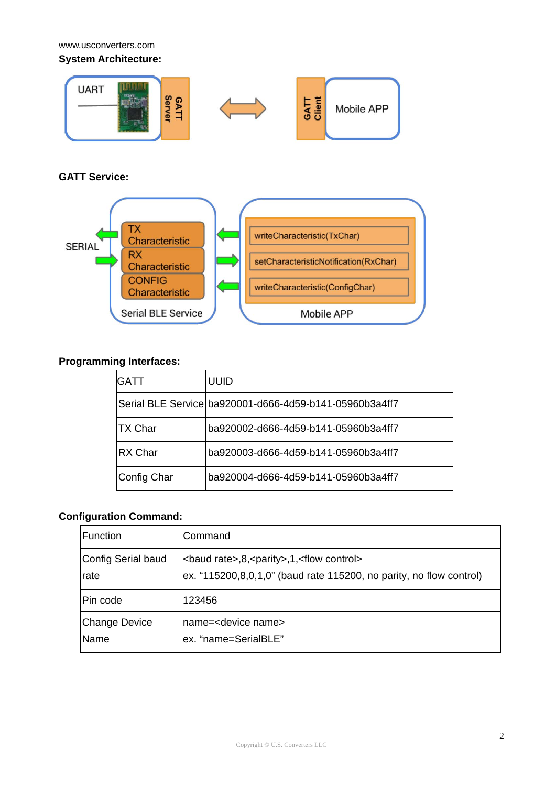www.usconverters.com

**System Architecture:**



## **GATT Service:**



## **Programming Interfaces:**

| <b>GATT</b>    | <b>UUID</b>                                             |
|----------------|---------------------------------------------------------|
|                | Serial BLE Service ba920001-d666-4d59-b141-05960b3a4ff7 |
| <b>TX Char</b> | ba920002-d666-4d59-b141-05960b3a4ff7                    |
| RX Char        | ba920003-d666-4d59-b141-05960b3a4ff7                    |
| Config Char    | ba920004-d666-4d59-b141-05960b3a4ff7                    |

# **Configuration Command:**

| <b>Function</b>    | Command                                                              |
|--------------------|----------------------------------------------------------------------|
| Config Serial baud | <baud rate="">,8,<parity>,1,<flow control=""></flow></parity></baud> |
| rate               | ex. "115200,8,0,1,0" (baud rate 115200, no parity, no flow control)  |
| Pin code           | 123456                                                               |
| Change Device      | Iname= <device name=""></device>                                     |
| Name               | ex. "name=SerialBLE"                                                 |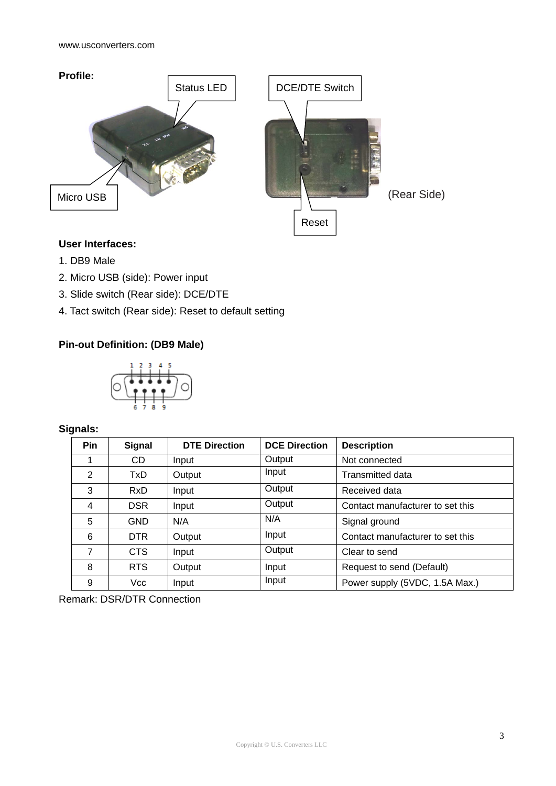

## **User Interfaces:**

- 1. DB9 Male
- 2. Micro USB (side): Power input
- 3. Slide switch (Rear side): DCE/DTE
- 4. Tact switch (Rear side): Reset to default setting

# **Pin-out Definition: (DB9 Male)**



# **Signals:**

| <b>Pin</b> | <b>Signal</b> | <b>DTE Direction</b> | <b>DCE Direction</b> | <b>Description</b>               |
|------------|---------------|----------------------|----------------------|----------------------------------|
|            | CD.           | Input                | Output               | Not connected                    |
| 2          | TxD.          | Output               | Input                | Transmitted data                 |
| 3          | <b>RxD</b>    | Input                | Output               | Received data                    |
| 4          | <b>DSR</b>    | Input                | Output               | Contact manufacturer to set this |
| 5          | <b>GND</b>    | N/A                  | N/A                  | Signal ground                    |
| 6          | DTR.          | Output               | Input                | Contact manufacturer to set this |
| 7          | CTS           | Input                | Output               | Clear to send                    |
| 8          | <b>RTS</b>    | Output               | Input                | Request to send (Default)        |
| 9          | Vcc           | Input                | Input                | Power supply (5VDC, 1.5A Max.)   |

Remark: DSR/DTR Connection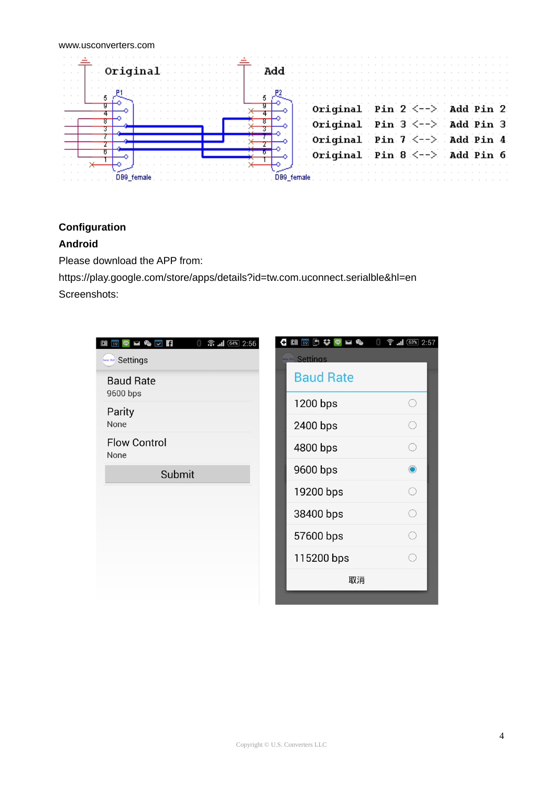| Original | and <b>Add</b>                                                                     |
|----------|------------------------------------------------------------------------------------|
|          | Original Pin $2 < - \rightarrow$ Add Pin 2                                         |
|          | Original Pin $3 \leq -\geq$ Add Pin 3<br>Original Pin $7 < -\rightarrow$ Add Pin 4 |
|          | Original Pin $8 \leq -2$ Add Pin 6                                                 |

## **Configuration**

## **Android**

Please download the APP from:

https://play.google.com/store/apps/details?id=tw.com.uconnect.serialble&hl=en Screenshots:

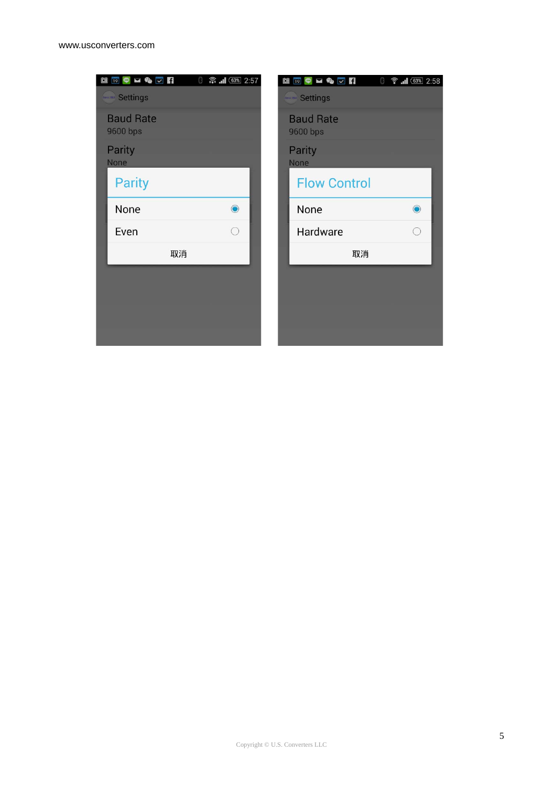| $\blacksquare$ 19 $\heartsuit$ $\blacktriangleright$ $\heartsuit$ $\heartsuit$ $\blacksquare$<br>● 盒  1 (63% 2:57 | 19 9 <b>2 &amp; 7 F</b><br>● 1 63% 2:58<br>0<br>餔 |
|-------------------------------------------------------------------------------------------------------------------|---------------------------------------------------|
| <b>Settlings</b>                                                                                                  | <b>SewiBLE</b> Settings                           |
| <b>Baud Rate</b><br>9600 bps                                                                                      | <b>Baud Rate</b><br>9600 bps                      |
| Parity<br>None                                                                                                    | Parity<br>None                                    |
| <b>Parity</b>                                                                                                     | <b>Flow Control</b>                               |
| None<br>$\bullet$                                                                                                 | None<br>$\bullet$                                 |
| Even                                                                                                              | Hardware                                          |
| 取消                                                                                                                | 取消                                                |
|                                                                                                                   |                                                   |
|                                                                                                                   |                                                   |
|                                                                                                                   |                                                   |
|                                                                                                                   |                                                   |